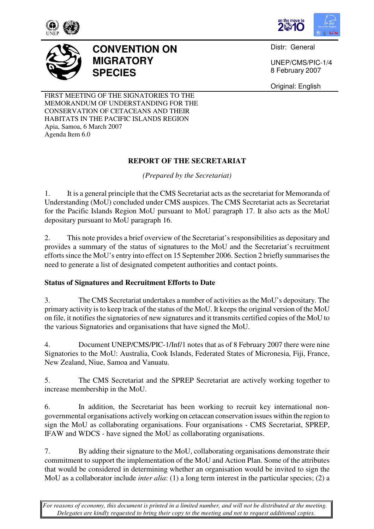



Distr: General

UNEP/CMS/PIC-1/4 8 February 2007

Original: English

FIRST MEETING OF THE SIGNATORIES TO THE MEMORANDUM OF UNDERSTANDING FOR THE CONSERVATION OF CETACEANS AND THEIR HABITATS IN THE PACIFIC ISLANDS REGION Apia, Samoa, 6 March 2007 Agenda Item 6.0

**MIGRATORY** 

**SPECIES** 

**CONVENTION ON** 

### **REPORT OF THE SECRETARIAT**

*(Prepared by the Secretariat)* 

1. It is a general principle that the CMS Secretariat acts as the secretariat for Memoranda of Understanding (MoU) concluded under CMS auspices. The CMS Secretariat acts as Secretariat for the Pacific Islands Region MoU pursuant to MoU paragraph 17. It also acts as the MoU depositary pursuant to MoU paragraph 16.

2. This note provides a brief overview of the Secretariat's responsibilities as depositary and provides a summary of the status of signatures to the MoU and the Secretariat's recruitment efforts since the MoU's entry into effect on 15 September 2006. Section 2 briefly summarises the need to generate a list of designated competent authorities and contact points.

# **Status of Signatures and Recruitment Efforts to Date**

3. The CMS Secretariat undertakes a number of activities as the MoU's depositary. The primary activity is to keep track of the status of the MoU. It keeps the original version of the MoU on file, it notifies the signatories of new signatures and it transmits certified copies of the MoU to the various Signatories and organisations that have signed the MoU.

4. Document UNEP/CMS/PIC-1/Inf/1 notes that as of 8 February 2007 there were nine Signatories to the MoU: Australia, Cook Islands, Federated States of Micronesia, Fiji, France, New Zealand, Niue, Samoa and Vanuatu.

5. The CMS Secretariat and the SPREP Secretariat are actively working together to increase membership in the MoU.

6. In addition, the Secretariat has been working to recruit key international nongovernmental organisations actively working on cetacean conservation issues within the region to sign the MoU as collaborating organisations. Four organisations - CMS Secretariat, SPREP, IFAW and WDCS - have signed the MoU as collaborating organisations.

7. By adding their signature to the MoU, collaborating organisations demonstrate their commitment to support the implementation of the MoU and Action Plan. Some of the attributes that would be considered in determining whether an organisation would be invited to sign the MoU as a collaborator include *inter alia*: (1) a long term interest in the particular species; (2) a

*For reasons of economy, this document is printed in a limited number, and will not be distributed at the meeting. Delegates are kindly requested to bring their copy to the meeting and not to request additional copies.*